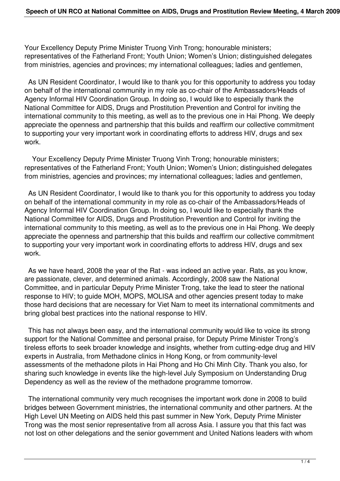Your Excellency Deputy Prime Minister Truong Vinh Trong; honourable ministers; representatives of the Fatherland Front; Youth Union; Women's Union; distinguished delegates from ministries, agencies and provinces; my international colleagues; ladies and gentlemen,

 As UN Resident Coordinator, I would like to thank you for this opportunity to address you today on behalf of the international community in my role as co-chair of the Ambassadors/Heads of Agency Informal HIV Coordination Group. In doing so, I would like to especially thank the National Committee for AIDS, Drugs and Prostitution Prevention and Control for inviting the international community to this meeting, as well as to the previous one in Hai Phong. We deeply appreciate the openness and partnership that this builds and reaffirm our collective commitment to supporting your very important work in coordinating efforts to address HIV, drugs and sex work.

 Your Excellency Deputy Prime Minister Truong Vinh Trong; honourable ministers; representatives of the Fatherland Front; Youth Union; Women's Union; distinguished delegates from ministries, agencies and provinces; my international colleagues; ladies and gentlemen,

 As UN Resident Coordinator, I would like to thank you for this opportunity to address you today on behalf of the international community in my role as co-chair of the Ambassadors/Heads of Agency Informal HIV Coordination Group. In doing so, I would like to especially thank the National Committee for AIDS, Drugs and Prostitution Prevention and Control for inviting the international community to this meeting, as well as to the previous one in Hai Phong. We deeply appreciate the openness and partnership that this builds and reaffirm our collective commitment to supporting your very important work in coordinating efforts to address HIV, drugs and sex work.

 As we have heard, 2008 the year of the Rat - was indeed an active year. Rats, as you know, are passionate, clever, and determined animals. Accordingly, 2008 saw the National Committee, and in particular Deputy Prime Minister Trong, take the lead to steer the national response to HIV; to guide MOH, MOPS, MOLISA and other agencies present today to make those hard decisions that are necessary for Viet Nam to meet its international commitments and bring global best practices into the national response to HIV.

 This has not always been easy, and the international community would like to voice its strong support for the National Committee and personal praise, for Deputy Prime Minister Trong's tireless efforts to seek broader knowledge and insights, whether from cutting-edge drug and HIV experts in Australia, from Methadone clinics in Hong Kong, or from community-level assessments of the methadone pilots in Hai Phong and Ho Chi Minh City. Thank you also, for sharing such knowledge in events like the high-level July Symposium on Understanding Drug Dependency as well as the review of the methadone programme tomorrow.

 The international community very much recognises the important work done in 2008 to build bridges between Government ministries, the international community and other partners. At the High Level UN Meeting on AIDS held this past summer in New York, Deputy Prime Minister Trong was the most senior representative from all across Asia. I assure you that this fact was not lost on other delegations and the senior government and United Nations leaders with whom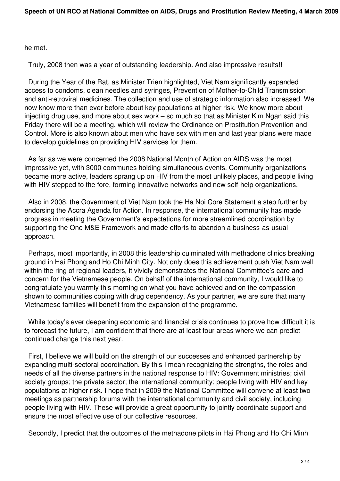he met.

Truly, 2008 then was a year of outstanding leadership. And also impressive results!!

 During the Year of the Rat, as Minister Trien highlighted, Viet Nam significantly expanded access to condoms, clean needles and syringes, Prevention of Mother-to-Child Transmission and anti-retroviral medicines. The collection and use of strategic information also increased. We now know more than ever before about key populations at higher risk. We know more about injecting drug use, and more about sex work – so much so that as Minister Kim Ngan said this Friday there will be a meeting, which will review the Ordinance on Prostitution Prevention and Control. More is also known about men who have sex with men and last year plans were made to develop guidelines on providing HIV services for them.

 As far as we were concerned the 2008 National Month of Action on AIDS was the most impressive yet, with 3000 communes holding simultaneous events. Community organizations became more active, leaders sprang up on HIV from the most unlikely places, and people living with HIV stepped to the fore, forming innovative networks and new self-help organizations.

 Also in 2008, the Government of Viet Nam took the Ha Noi Core Statement a step further by endorsing the Accra Agenda for Action. In response, the international community has made progress in meeting the Government's expectations for more streamlined coordination by supporting the One M&E Framework and made efforts to abandon a business-as-usual approach.

 Perhaps, most importantly, in 2008 this leadership culminated with methadone clinics breaking ground in Hai Phong and Ho Chi Minh City. Not only does this achievement push Viet Nam well within the ring of regional leaders, it vividly demonstrates the National Committee's care and concern for the Vietnamese people. On behalf of the international community, I would like to congratulate you warmly this morning on what you have achieved and on the compassion shown to communities coping with drug dependency. As your partner, we are sure that many Vietnamese families will benefit from the expansion of the programme.

 While today's ever deepening economic and financial crisis continues to prove how difficult it is to forecast the future, I am confident that there are at least four areas where we can predict continued change this next year.

 First, I believe we will build on the strength of our successes and enhanced partnership by expanding multi-sectoral coordination. By this I mean recognizing the strengths, the roles and needs of all the diverse partners in the national response to HIV: Government ministries; civil society groups; the private sector; the international community; people living with HIV and key populations at higher risk. I hope that in 2009 the National Committee will convene at least two meetings as partnership forums with the international community and civil society, including people living with HIV. These will provide a great opportunity to jointly coordinate support and ensure the most effective use of our collective resources.

Secondly, I predict that the outcomes of the methadone pilots in Hai Phong and Ho Chi Minh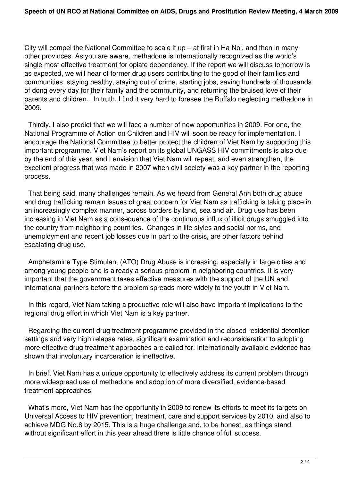City will compel the National Committee to scale it up  $-$  at first in Ha Noi, and then in many other provinces. As you are aware, methadone is internationally recognized as the world's single most effective treatment for opiate dependency. If the report we will discuss tomorrow is as expected, we will hear of former drug users contributing to the good of their families and communities, staying healthy, staying out of crime, starting jobs, saving hundreds of thousands of dong every day for their family and the community, and returning the bruised love of their parents and children…In truth, I find it very hard to foresee the Buffalo neglecting methadone in 2009.

 Thirdly, I also predict that we will face a number of new opportunities in 2009. For one, the National Programme of Action on Children and HIV will soon be ready for implementation. I encourage the National Committee to better protect the children of Viet Nam by supporting this important programme. Viet Nam's report on its global UNGASS HIV commitments is also due by the end of this year, and I envision that Viet Nam will repeat, and even strengthen, the excellent progress that was made in 2007 when civil society was a key partner in the reporting process.

 That being said, many challenges remain. As we heard from General Anh both drug abuse and drug trafficking remain issues of great concern for Viet Nam as trafficking is taking place in an increasingly complex manner, across borders by land, sea and air. Drug use has been increasing in Viet Nam as a consequence of the continuous influx of illicit drugs smuggled into the country from neighboring countries. Changes in life styles and social norms, and unemployment and recent job losses due in part to the crisis, are other factors behind escalating drug use.

 Amphetamine Type Stimulant (ATO) Drug Abuse is increasing, especially in large cities and among young people and is already a serious problem in neighboring countries. It is very important that the government takes effective measures with the support of the UN and international partners before the problem spreads more widely to the youth in Viet Nam.

 In this regard, Viet Nam taking a productive role will also have important implications to the regional drug effort in which Viet Nam is a key partner.

 Regarding the current drug treatment programme provided in the closed residential detention settings and very high relapse rates, significant examination and reconsideration to adopting more effective drug treatment approaches are called for. Internationally available evidence has shown that involuntary incarceration is ineffective.

 In brief, Viet Nam has a unique opportunity to effectively address its current problem through more widespread use of methadone and adoption of more diversified, evidence-based treatment approaches.

 What's more, Viet Nam has the opportunity in 2009 to renew its efforts to meet its targets on Universal Access to HIV prevention, treatment, care and support services by 2010, and also to achieve MDG No.6 by 2015. This is a huge challenge and, to be honest, as things stand, without significant effort in this year ahead there is little chance of full success.